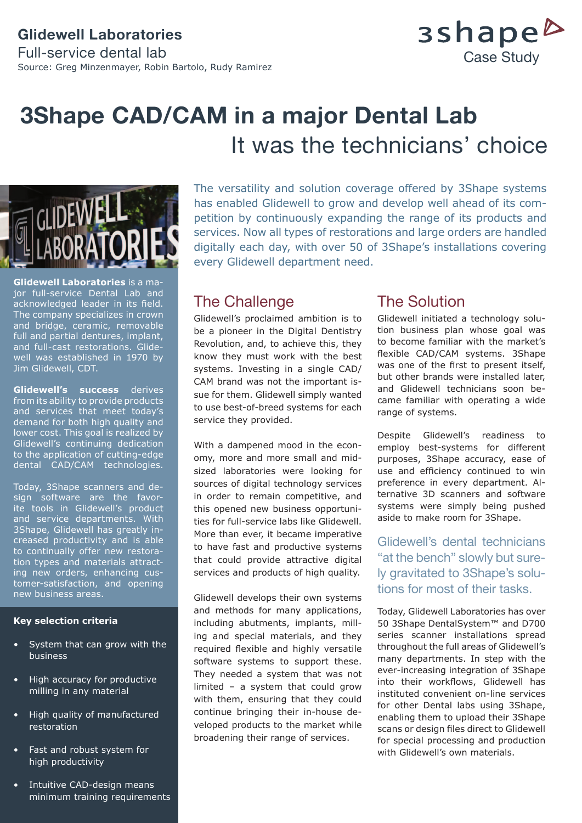## **Glidewell Laboratories** Full-service dental lab Source: Greg Minzenmayer, Robin Bartolo, Rudy Ramirez

## 3shape<sup>b</sup> Case Study

# **3Shape CAD/CAM in a major Dental Lab**  It was the technicians' choice



**Glidewell Laboratories** is a major full-service Dental Lab and acknowledged leader in its field. The company specializes in crown and bridge, ceramic, removable full and partial dentures, implant, and full-cast restorations. Glidewell was established in 1970 by Jim Glidewell, CDT.

**Glidewell's success** derives from its ability to provide products and services that meet today's demand for both high quality and lower cost. This goal is realized by Glidewell's continuing dedication to the application of cutting-edge dental CAD/CAM technologies.

Today, 3Shape scanners and design software are the favorite tools in Glidewell's product and service departments. With 3Shape, Glidewell has greatly increased productivity and is able to continually offer new restoration types and materials attracting new orders, enhancing customer-satisfaction, and opening new business areas.

#### **Key selection criteria**

- System that can grow with the business
- High accuracy for productive milling in any material
- High quality of manufactured restoration
- Fast and robust system for high productivity
- Intuitive CAD-design means minimum training requirements

The versatility and solution coverage offered by 3Shape systems has enabled Glidewell to grow and develop well ahead of its competition by continuously expanding the range of its products and services. Now all types of restorations and large orders are handled digitally each day, with over 50 of 3Shape's installations covering every Glidewell department need.

## The Challenge

Glidewell's proclaimed ambition is to be a pioneer in the Digital Dentistry Revolution, and, to achieve this, they know they must work with the best systems. Investing in a single CAD/ CAM brand was not the important issue for them. Glidewell simply wanted to use best-of-breed systems for each service they provided.

With a dampened mood in the economy, more and more small and midsized laboratories were looking for sources of digital technology services in order to remain competitive, and this opened new business opportunities for full-service labs like Glidewell. More than ever, it became imperative to have fast and productive systems that could provide attractive digital services and products of high quality.

Glidewell develops their own systems and methods for many applications, including abutments, implants, milling and special materials, and they required flexible and highly versatile software systems to support these. They needed a system that was not limited – a system that could grow with them, ensuring that they could continue bringing their in-house developed products to the market while broadening their range of services.

## The Solution

Glidewell initiated a technology solution business plan whose goal was to become familiar with the market's flexible CAD/CAM systems. 3Shape was one of the first to present itself, but other brands were installed later, and Glidewell technicians soon became familiar with operating a wide range of systems.

Despite Glidewell's readiness to employ best-systems for different purposes, 3Shape accuracy, ease of use and efficiency continued to win preference in every department. Alternative 3D scanners and software systems were simply being pushed aside to make room for 3Shape.

Glidewell's dental technicians "at the bench" slowly but surely gravitated to 3Shape's solutions for most of their tasks.

Today, Glidewell Laboratories has over 50 3Shape DentalSystem™ and D700 series scanner installations spread throughout the full areas of Glidewell's many departments. In step with the ever-increasing integration of 3Shape into their workflows, Glidewell has instituted convenient on-line services for other Dental labs using 3Shape, enabling them to upload their 3Shape scans or design files direct to Glidewell for special processing and production with Glidewell's own materials.